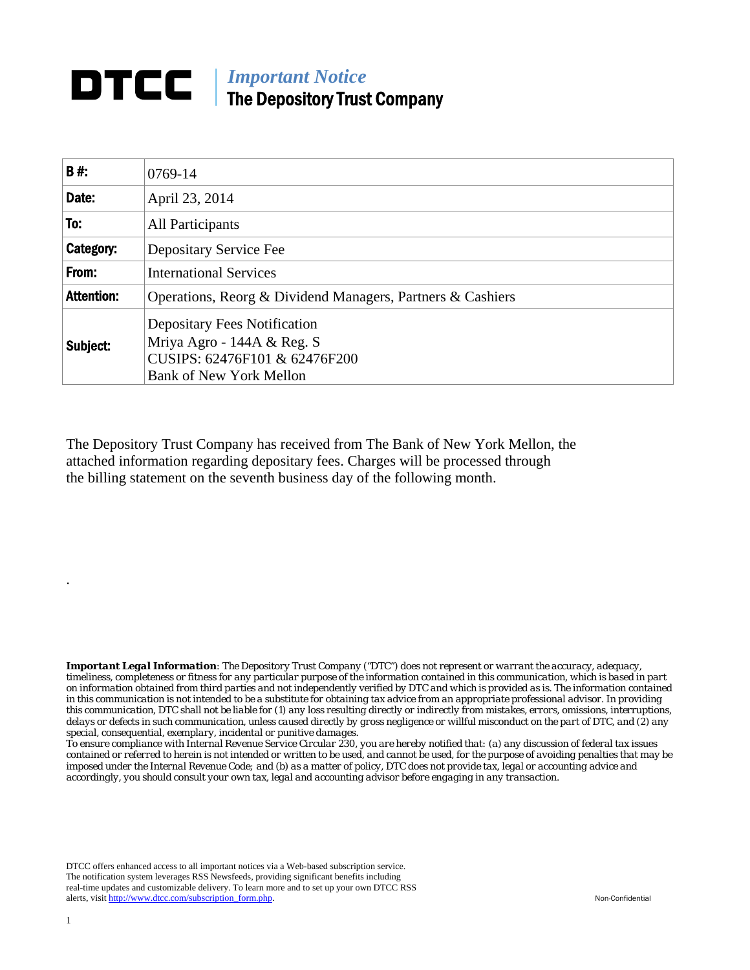## **DTCC** | *Important Notice* The Depository Trust Company

| <b>B#:</b>        | 0769-14                                                                                                                              |  |
|-------------------|--------------------------------------------------------------------------------------------------------------------------------------|--|
| Date:             | April 23, 2014                                                                                                                       |  |
| To:               | All Participants                                                                                                                     |  |
| Category:         | Depositary Service Fee                                                                                                               |  |
| From:             | <b>International Services</b>                                                                                                        |  |
| <b>Attention:</b> | Operations, Reorg & Dividend Managers, Partners & Cashiers                                                                           |  |
| Subject:          | <b>Depositary Fees Notification</b><br>Mriya Agro - 144A & Reg. S<br>CUSIPS: 62476F101 & 62476F200<br><b>Bank of New York Mellon</b> |  |

The Depository Trust Company has received from The Bank of New York Mellon, the attached information regarding depositary fees. Charges will be processed through the billing statement on the seventh business day of the following month.

*Important Legal Information: The Depository Trust Company ("DTC") does not represent or warrant the accuracy, adequacy, timeliness, completeness or fitness for any particular purpose of the information contained in this communication, which is based in part on information obtained from third parties and not independently verified by DTC and which is provided as is. The information contained in this communication is not intended to be a substitute for obtaining tax advice from an appropriate professional advisor. In providing this communication, DTC shall not be liable for (1) any loss resulting directly or indirectly from mistakes, errors, omissions, interruptions, delays or defects in such communication, unless caused directly by gross negligence or willful misconduct on the part of DTC, and (2) any special, consequential, exemplary, incidental or punitive damages.* 

*To ensure compliance with Internal Revenue Service Circular 230, you are hereby notified that: (a) any discussion of federal tax issues contained or referred to herein is not intended or written to be used, and cannot be used, for the purpose of avoiding penalties that may be imposed under the Internal Revenue Code; and (b) as a matter of policy, DTC does not provide tax, legal or accounting advice and accordingly, you should consult your own tax, legal and accounting advisor before engaging in any transaction.*

DTCC offers enhanced access to all important notices via a Web-based subscription service. The notification system leverages RSS Newsfeeds, providing significant benefits including real-time updates and customizable delivery. To learn more and to set up your own DTCC RSS alerts, visit http://www.dtcc.com/subscription\_form.php. Non-Confidential

.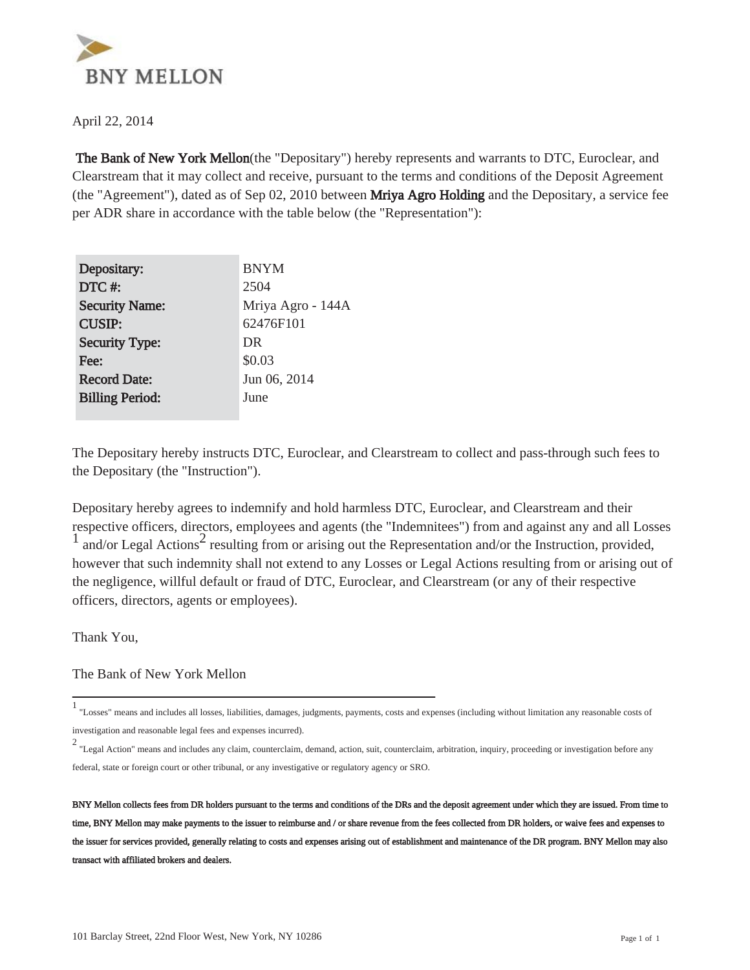

April 22, 2014

 The Bank of New York Mellon(the "Depositary") hereby represents and warrants to DTC, Euroclear, and Clearstream that it may collect and receive, pursuant to the terms and conditions of the Deposit Agreement (the "Agreement"), dated as of Sep 02, 2010 between Mriya Agro Holding and the Depositary, a service fee per ADR share in accordance with the table below (the "Representation"):

| Depositary:            | <b>BNYM</b>       |
|------------------------|-------------------|
| DTC#:                  | 2504              |
| <b>Security Name:</b>  | Mriya Agro - 144A |
| <b>CUSIP:</b>          | 62476F101         |
| <b>Security Type:</b>  | DR                |
| Fee:                   | \$0.03            |
| <b>Record Date:</b>    | Jun 06, 2014      |
| <b>Billing Period:</b> | June              |
|                        |                   |

The Depositary hereby instructs DTC, Euroclear, and Clearstream to collect and pass-through such fees to the Depositary (the "Instruction").

Depositary hereby agrees to indemnify and hold harmless DTC, Euroclear, and Clearstream and their respective officers, directors, employees and agents (the "Indemnitees") from and against any and all Losses  $\frac{1}{1}$  and/or Legal Actions<sup>2</sup> resulting from or arising out the Representation and/or the Instruction, provided, however that such indemnity shall not extend to any Losses or Legal Actions resulting from or arising out of the negligence, willful default or fraud of DTC, Euroclear, and Clearstream (or any of their respective officers, directors, agents or employees).

Thank You,

The Bank of New York Mellon

<sup>1</sup> "Losses" means and includes all losses, liabilities, damages, judgments, payments, costs and expenses (including without limitation any reasonable costs of investigation and reasonable legal fees and expenses incurred).

<sup>2</sup> "Legal Action" means and includes any claim, counterclaim, demand, action, suit, counterclaim, arbitration, inquiry, proceeding or investigation before any federal, state or foreign court or other tribunal, or any investigative or regulatory agency or SRO.

BNY Mellon collects fees from DR holders pursuant to the terms and conditions of the DRs and the deposit agreement under which they are issued. From time to time, BNY Mellon may make payments to the issuer to reimburse and / or share revenue from the fees collected from DR holders, or waive fees and expenses to the issuer for services provided, generally relating to costs and expenses arising out of establishment and maintenance of the DR program. BNY Mellon may also transact with affiliated brokers and dealers.